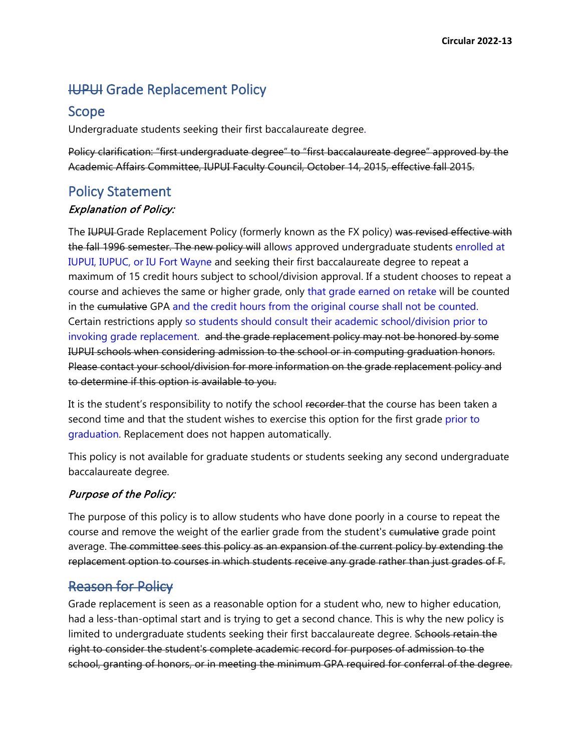# **IUPUI Grade Replacement Policy**

### Scope

Undergraduate students seeking their first baccalaureate degree.

Policy clarification: "first undergraduate degree" to "first baccalaureate degree" approved by the Academic Affairs Committee, IUPUI Faculty Council, October 14, 2015, effective fall 2015.

# Policy Statement

#### Explanation of Policy:

The IUPUI Grade Replacement Policy (formerly known as the FX policy) was revised effective with the fall 1996 semester. The new policy will allows approved undergraduate students enrolled at IUPUI, IUPUC, or IU Fort Wayne and seeking their first baccalaureate degree to repeat a maximum of 15 credit hours subject to school/division approval. If a student chooses to repeat a course and achieves the same or higher grade, only that grade earned on retake will be counted in the cumulative GPA and the credit hours from the original course shall not be counted. Certain restrictions apply so students should consult their academic school/division prior to invoking grade replacement. and the grade replacement policy may not be honored by some IUPUI schools when considering admission to the school or in computing graduation honors. Please contact your school/division for more information on the grade replacement policy and to determine if this option is available to you.

It is the student's responsibility to notify the school recorder-that the course has been taken a second time and that the student wishes to exercise this option for the first grade prior to graduation. Replacement does not happen automatically.

This policy is not available for graduate students or students seeking any second undergraduate baccalaureate degree.

#### Purpose of the Policy:

The purpose of this policy is to allow students who have done poorly in a course to repeat the course and remove the weight of the earlier grade from the student's cumulative grade point average. The committee sees this policy as an expansion of the current policy by extending the replacement option to courses in which students receive any grade rather than just grades of F.

# Reason for Policy

Grade replacement is seen as a reasonable option for a student who, new to higher education, had a less-than-optimal start and is trying to get a second chance. This is why the new policy is limited to undergraduate students seeking their first baccalaureate degree. Schools retain the right to consider the student's complete academic record for purposes of admission to the school, granting of honors, or in meeting the minimum GPA required for conferral of the degree.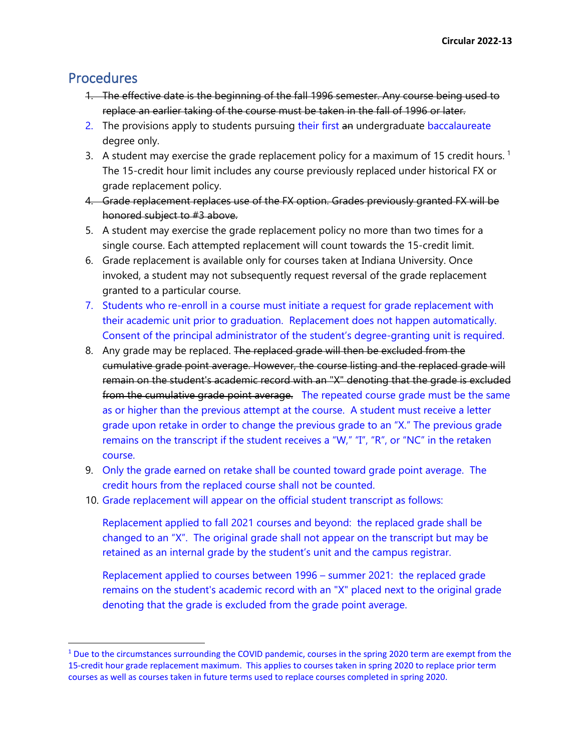### **Procedures**

- 1. The effective date is the beginning of the fall 1996 semester. Any course being used to replace an earlier taking of the course must be taken in the fall of 1996 or later.
- 2. The provisions apply to students pursuing their first an undergraduate baccalaureate degree only.
- 3. A student may exercise the grade replacement policy for a maximum of [1](#page-1-0)5 credit hours.<sup>1</sup> The 15-credit hour limit includes any course previously replaced under historical FX or grade replacement policy.
- 4. Grade replacement replaces use of the FX option. Grades previously granted FX will be honored subject to #3 above.
- 5. A student may exercise the grade replacement policy no more than two times for a single course. Each attempted replacement will count towards the 15-credit limit.
- 6. Grade replacement is available only for courses taken at Indiana University. Once invoked, a student may not subsequently request reversal of the grade replacement granted to a particular course.
- 7. Students who re-enroll in a course must initiate a request for grade replacement with their academic unit prior to graduation. Replacement does not happen automatically. Consent of the principal administrator of the student's degree-granting unit is required.
- 8. Any grade may be replaced. The replaced grade will then be excluded from the cumulative grade point average. However, the course listing and the replaced grade will remain on the student's academic record with an "X" denoting that the grade is excluded from the cumulative grade point average. The repeated course grade must be the same as or higher than the previous attempt at the course. A student must receive a letter grade upon retake in order to change the previous grade to an "X." The previous grade remains on the transcript if the student receives a "W," "I", "R", or "NC" in the retaken course.
- 9. Only the grade earned on retake shall be counted toward grade point average. The credit hours from the replaced course shall not be counted.
- 10. Grade replacement will appear on the official student transcript as follows:

Replacement applied to fall 2021 courses and beyond: the replaced grade shall be changed to an "X". The original grade shall not appear on the transcript but may be retained as an internal grade by the student's unit and the campus registrar.

Replacement applied to courses between 1996 – summer 2021: the replaced grade remains on the student's academic record with an "X" placed next to the original grade denoting that the grade is excluded from the grade point average.

<span id="page-1-0"></span><sup>&</sup>lt;sup>1</sup> Due to the circumstances surrounding the COVID pandemic, courses in the spring 2020 term are exempt from the 15-credit hour grade replacement maximum. This applies to courses taken in spring 2020 to replace prior term courses as well as courses taken in future terms used to replace courses completed in spring 2020.